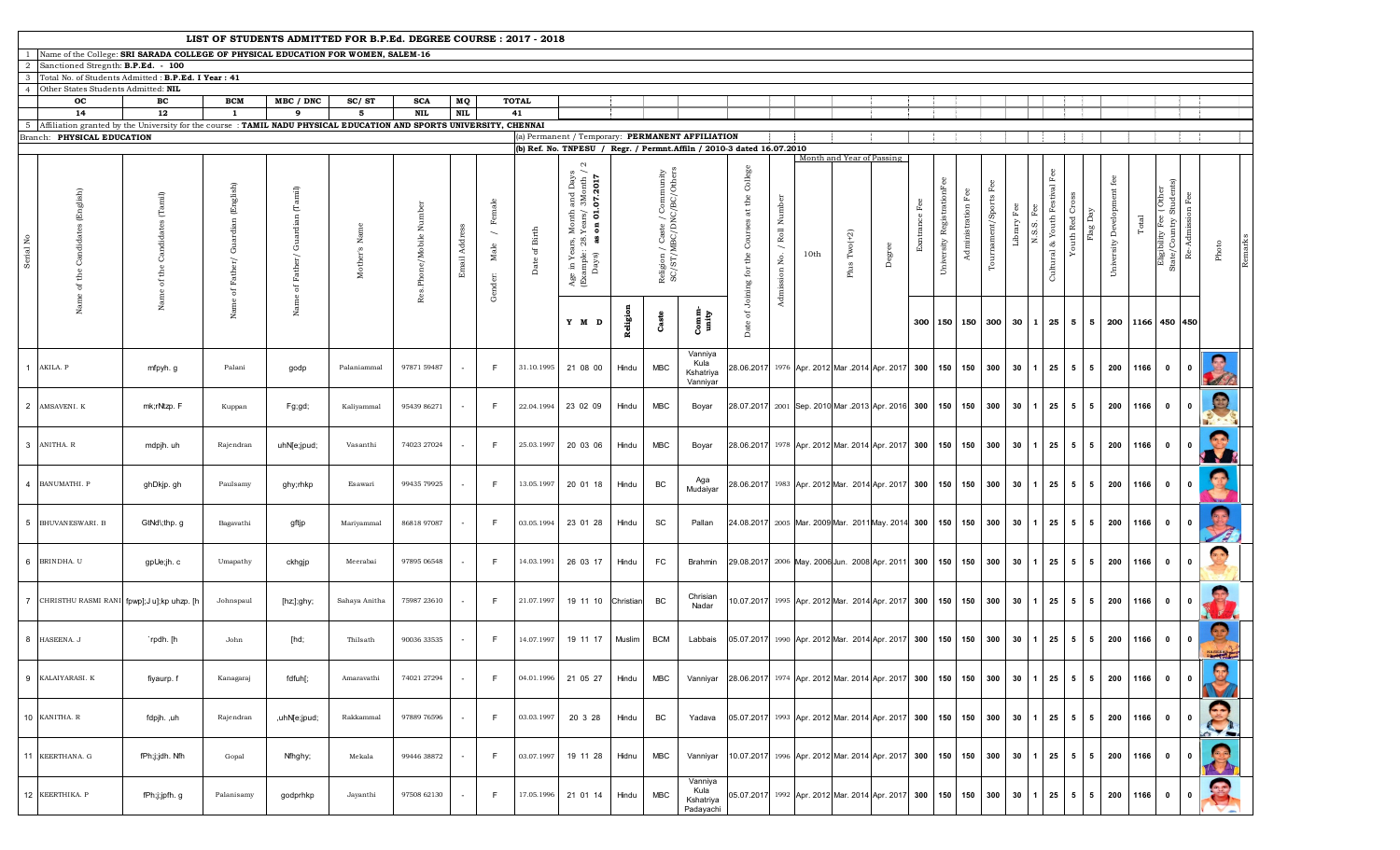|                                                                                                                               |                                                                                                                    |                                                                              |                                                                     | LIST OF STUDENTS ADMITTED FOR B.P.Ed. DEGREE COURSE: 2017 - 2018    |                       |                        |              |                                                       |                  |                                                                                                                                     |           |                                                         |                                                                        |                                                   |                             |      |                                                   |        |                  |                            |                       |                                    |                         |                                                   |                 |                 |                                                |                  |                                                    |                      |                     |  |
|-------------------------------------------------------------------------------------------------------------------------------|--------------------------------------------------------------------------------------------------------------------|------------------------------------------------------------------------------|---------------------------------------------------------------------|---------------------------------------------------------------------|-----------------------|------------------------|--------------|-------------------------------------------------------|------------------|-------------------------------------------------------------------------------------------------------------------------------------|-----------|---------------------------------------------------------|------------------------------------------------------------------------|---------------------------------------------------|-----------------------------|------|---------------------------------------------------|--------|------------------|----------------------------|-----------------------|------------------------------------|-------------------------|---------------------------------------------------|-----------------|-----------------|------------------------------------------------|------------------|----------------------------------------------------|----------------------|---------------------|--|
| Name of the College: SRI SARADA COLLEGE OF PHYSICAL EDUCATION FOR WOMEN, SALEM-16<br>Sanctioned Stregnth: B.P.Ed. - 100<br>-2 |                                                                                                                    |                                                                              |                                                                     |                                                                     |                       |                        |              |                                                       |                  |                                                                                                                                     |           |                                                         |                                                                        |                                                   |                             |      |                                                   |        |                  |                            |                       |                                    |                         |                                                   |                 |                 |                                                |                  |                                                    |                      |                     |  |
| l'otal No. of Students Admitted : B.P.Ed. I Year : 41                                                                         |                                                                                                                    |                                                                              |                                                                     |                                                                     |                       |                        |              |                                                       |                  |                                                                                                                                     |           |                                                         |                                                                        |                                                   |                             |      |                                                   |        |                  |                            |                       |                                    |                         |                                                   |                 |                 |                                                |                  |                                                    |                      |                     |  |
| $\mathbf{A}$                                                                                                                  | Other States Students Admitted: NIL                                                                                |                                                                              |                                                                     |                                                                     |                       |                        |              |                                                       |                  |                                                                                                                                     |           |                                                         |                                                                        |                                                   |                             |      |                                                   |        |                  |                            |                       |                                    |                         |                                                   |                 |                 |                                                |                  |                                                    |                      |                     |  |
|                                                                                                                               | oc                                                                                                                 | вc                                                                           | <b>BCM</b>                                                          | MBC / DNC                                                           | SC/ST                 | <b>SCA</b>             | MQ           |                                                       | <b>TOTAL</b>     |                                                                                                                                     |           |                                                         |                                                                        |                                                   |                             |      |                                                   |        |                  |                            |                       |                                    |                         |                                                   |                 |                 |                                                |                  |                                                    |                      |                     |  |
|                                                                                                                               | 14                                                                                                                 | 12                                                                           | -1                                                                  | 9                                                                   | 5                     | <b>NIL</b>             | $\bf NIL$    |                                                       | 41               |                                                                                                                                     |           |                                                         |                                                                        |                                                   |                             |      |                                                   |        |                  |                            |                       |                                    |                         |                                                   |                 |                 |                                                |                  |                                                    |                      |                     |  |
| 5 <sup>5</sup>                                                                                                                | Affiliation granted by the University for the course: TAMIL NADU PHYSICAL EDUCATION AND SPORTS UNIVERSITY, CHENNAI |                                                                              |                                                                     |                                                                     |                       |                        |              |                                                       |                  |                                                                                                                                     |           |                                                         |                                                                        |                                                   |                             |      |                                                   |        |                  |                            |                       |                                    |                         |                                                   |                 |                 |                                                |                  |                                                    |                      |                     |  |
|                                                                                                                               | Branch: PHYSICAL EDUCATION                                                                                         |                                                                              |                                                                     |                                                                     |                       |                        |              |                                                       |                  |                                                                                                                                     |           |                                                         | (a) Permanent / Temporary: PERMANENT AFFILIATION                       |                                                   |                             |      |                                                   |        |                  |                            |                       |                                    |                         |                                                   |                 |                 |                                                |                  |                                                    |                      |                     |  |
|                                                                                                                               |                                                                                                                    |                                                                              |                                                                     |                                                                     |                       |                        |              |                                                       |                  |                                                                                                                                     |           |                                                         | (b) Ref. No. TNPESU / Regr. / Permnt. Affiln / 2010-3 dated 16.07.2010 |                                                   |                             |      | Month and Year of Passing                         |        |                  |                            |                       |                                    |                         |                                                   |                 |                 |                                                |                  |                                                    |                      |                     |  |
| Lo<br><b>Serial</b>                                                                                                           | Candidates (English)<br>of the                                                                                     | $\left( \mathrm{Tamil}\right)$<br>Candidates<br>$\mathop{\mathsf{the}}$<br>ď | $(\mathrm{English})$<br>Guardian<br>$_{\rm Father} /$<br>$\rm ^{5}$ | $\left(\mathrm{Tarnil}\right)$<br>Guardian<br>${\tt Father}/$<br>ъp | Name<br>$M\,$ other's | Res. Phone/Mobile Numb | Email Addres | Female<br>$\overline{\phantom{0}}$<br>Male<br>Gender: | Birth<br>Date of | $\sim$<br>, Month and Days<br>$3.Years/3$ Month /<br>$\bf{s}$ on 01.07.2017<br>Age in Years, 1<br>(Example: 28.)<br>Days) <b>as</b> |           | Religion / Caste / Community<br>SC/ST/MBC/DNC/BC/Others |                                                                        | College<br>Courses at the<br>of Joining for the   | Admission No. / Roll Number | 10th | Plus $Two(+2)$                                    | Degree | Fee<br>Exntrance | University RegistrationFee | Fee<br>Administration | $_{\rm{Fee}}$<br>Tournament/Sports | $_{\rm Fee}$<br>Library | Fee<br>Cultural & Youth Festival<br>匤<br>$N.S.S.$ | Сp<br>Youth Red | Flag Day        | $\operatorname{fee}$<br>University Development | Total            | Eligibility Fee ( Other<br>State/Country Students) | -Admission Fee<br>œ. | Photo               |  |
|                                                                                                                               |                                                                                                                    | Name                                                                         | Name                                                                | Name                                                                |                       |                        |              |                                                       |                  | Y M D                                                                                                                               | Religion  | Caste                                                   | Comm<br>unity                                                          | <b>Date</b>                                       |                             |      |                                                   |        | 300              |                            | 150 150               | 300                                | 30                      | 1                                                 | 25 5            | 5               |                                                | 200 1166 450 450 |                                                    |                      |                     |  |
|                                                                                                                               | AKILA. P                                                                                                           | mfpyh.g                                                                      | Palani                                                              | godp                                                                | Palaniammal           | 97871 59487            |              | -F                                                    | 31.10.1995       | 21 08 00                                                                                                                            | Hindu     | <b>MBC</b>                                              | Vanniya<br>Kula<br>Kshatriya<br>Vanniyar                               | 28.06.2017                                        |                             |      | 1976 Apr. 2012 Mar .2014 Apr. 2017 300            |        |                  | 150 150                    |                       | 300                                | 30                      | 25                                                | 5               | 5               | 200                                            | 1166             | $\mathbf{0}$                                       | $\mathbf 0$          |                     |  |
|                                                                                                                               | 2 AMSAVENI. K                                                                                                      | mk;rNtzp. F                                                                  | Kuppan                                                              | Fg;gd;                                                              | Kaliyammal            | 95439 86271            |              | F.                                                    | 22.04.1994       | 23 02 09                                                                                                                            | Hindu     | <b>MBC</b>                                              | Boyar                                                                  |                                                   |                             |      | 28.07.2017 2001 Sep. 2010 Mar .2013 Apr. 2016 300 |        |                  | 150 150                    |                       | 300                                | 30                      | 25                                                | 5               | $5\overline{5}$ | 200                                            | 1166             | $\mathbf 0$                                        | $\mathbf{0}$         | S                   |  |
|                                                                                                                               | 3 ANITHA. R                                                                                                        | mdpjh. uh                                                                    | Rajendran                                                           | uhN[e;jpud;                                                         | Vasanthi              | 74023 27024            |              | -F                                                    | 25.03.1997       | 20 03 06                                                                                                                            | Hindu     | <b>MBC</b>                                              | Boyar                                                                  | 28.06.2017                                        |                             |      | 1978 Apr. 2012 Mar. 2014 Apr. 2017 300            |        |                  | 150 150                    |                       | 300                                | 30                      | 25                                                | $5^{\circ}$     | 5               | 200                                            | 1166             | $\mathbf{0}$                                       | $\mathbf 0$          | 68                  |  |
|                                                                                                                               | 4 BANUMATHI. P                                                                                                     | ghDkjp.gh                                                                    | Paulsamy                                                            | ghy;rhkp                                                            | Esawari               | 99435 79925            |              | -F                                                    | 13.05.1997       | 20 01 18                                                                                                                            | Hindu     | BC                                                      | Aga<br>Mudaiyar                                                        | 28.06.2017                                        |                             |      | 1983 Apr. 2012 Mar. 2014 Apr. 2017 300            |        |                  | 150 150                    |                       | 300                                | 30                      | 25                                                | 5               | 5               | 200                                            | 1166             | $\mathbf 0$                                        | $\mathbf 0$          |                     |  |
|                                                                                                                               | 5 BHUVAN ESWARI. B                                                                                                 | GtNd\;thp.g                                                                  | Bagavathi                                                           | gftjp                                                               | Mariyammal            | 86818 97087            |              | F.                                                    | 03.05.1994       | 23 01 28                                                                                                                            | Hindu     | SC                                                      | Pallan                                                                 | 24.08.2017 2005 Mar. 2009 Mar. 2011 May. 2014 300 |                             |      |                                                   |        |                  | 150 150                    |                       | 300                                | 30                      | 25 <sub>1</sub>                                   | 5               | $5\overline{5}$ | 200                                            | 1166             | $\mathbf 0$                                        | $\mathbf 0$          |                     |  |
|                                                                                                                               | 6 BRINDHA. U                                                                                                       | gpUe;jh. c                                                                   | Umapathy                                                            | ckhgjp                                                              | Meerabai              | 97895 06548            |              | F                                                     | 14.03.1991       | 26 03 17                                                                                                                            | Hindu     | FC                                                      | Brahmin                                                                | 29.08.2017 2006 May. 2006 Jun. 2008 Apr. 2011 300 |                             |      |                                                   |        |                  | 150 150                    |                       | 300                                | 30                      | 25                                                | 5               | 5               | 200                                            | 1166             | $\mathbf 0$                                        | $\mathbf 0$          | a <sub>0</sub>      |  |
|                                                                                                                               | 7 CHRISTHU RASMI RANI fpwp]; Jul;kp uhzp. [h                                                                       |                                                                              | Johnspaul                                                           | [hz;];ghy;                                                          | Sahaya Anitha         | 75987 23610            |              | F.                                                    | 21.07.1997       | 19 11 10                                                                                                                            | Christian | BC                                                      | Chrisian<br>Nadar                                                      | 0.07.2017                                         |                             |      | 1995 Apr. 2012 Mar. 2014 Apr. 2017 300            |        |                  |                            | 150 150 300           |                                    | 30                      | 25                                                | 5               | 5               | 200                                            | 1166             | $\mathbf{0}$                                       | $\mathbf 0$          |                     |  |
|                                                                                                                               | 8 HASEENA. J                                                                                                       | `rpdh. [h                                                                    | John                                                                | [hd;                                                                | Thilsath              | 90036 33535            |              | F.                                                    | 14.07.1997       | 19 11 17                                                                                                                            | Muslim    | <b>BCM</b>                                              | Labbais                                                                | 05.07.2017                                        |                             |      | 1990 Apr. 2012 Mar. 2014 Apr. 2017 300            |        |                  | 150 150                    |                       | 300                                | 30                      | 25                                                | 5 <sub>5</sub>  | $5\overline{5}$ | 200                                            | 1166             | $\mathbf 0$                                        | $\mathbf 0$          | <b>Baron Street</b> |  |
|                                                                                                                               | 9 KALAIYARASI. K                                                                                                   | fiyaurp. f                                                                   | Kanagaraj                                                           | fdfuh[;                                                             | Amaravathi            | 74021 27294            |              | F.                                                    | 04.01.1996       | 21 05 27                                                                                                                            | Hindu     | <b>MBC</b>                                              | Vanniyar                                                               | 28.06.2017                                        |                             |      | 1974 Apr. 2012 Mar. 2014 Apr. 2017 300            |        |                  | 150 150                    |                       | 300                                | 30                      | 25                                                | 5               | 5               |                                                | 200 1166         | $\mathbf 0$                                        | $\mathbf{0}$         | $\mathbf{Q}$        |  |
|                                                                                                                               | 10 KANITHA. R                                                                                                      | fdpjh. ,uh                                                                   | Rajendran                                                           | ,uhN[e;jpud;                                                        | Rakkammal             | 97889 76596            |              | F.                                                    | 03.03.1997       | 20 3 28                                                                                                                             | Hindu     | BC                                                      | Yadava                                                                 | 05.07.2017                                        |                             |      | 1993 Apr. 2012 Mar. 2014 Apr. 2017 300            |        |                  |                            | 150 150 300           |                                    | 30                      | 25                                                | 5               | 5               | 200                                            | 1166             | $\mathbf{0}$                                       | $\mathbf{0}$         |                     |  |
|                                                                                                                               | 11 KEERTHANA. G                                                                                                    | fPh;j;jdh. Nfh                                                               | Gopal                                                               | Nfhghy;                                                             | Mekala                | 99446 38872            |              | F.                                                    | 03.07.1997       | 19 11 28                                                                                                                            | Hidnu     | <b>MBC</b>                                              | Vanniyar                                                               | 0.07.2017                                         |                             |      | 1996 Apr. 2012 Mar. 2014 Apr. 2017 300            |        |                  | 150 150                    |                       | 300                                | 30                      | 25                                                | 5 <sub>5</sub>  | $5\overline{5}$ | 200                                            | 1166             | $\mathbf 0$                                        | $\mathbf 0$          | F                   |  |
|                                                                                                                               | 12 KEERTHIKA. P                                                                                                    | fPh;j;jpfh.g                                                                 | Palanisamy                                                          | godprhkp                                                            | Jayanthi              | 97508 62130            |              | -F.                                                   | 17.05.1996       | 21 01 14                                                                                                                            | Hindu     | <b>MBC</b>                                              | Vanniya<br>Kula<br>Kshatriya<br>Padayachi                              | 05.07.2017                                        |                             |      | 1992 Apr. 2012 Mar. 2014 Apr. 2017 300            |        |                  | 150 150                    |                       | 300                                | 30                      | 25                                                | $5\overline{5}$ | $5\overline{5}$ | 200                                            | 1166             | $\mathbf{0}$                                       | $\mathbf{0}$         |                     |  |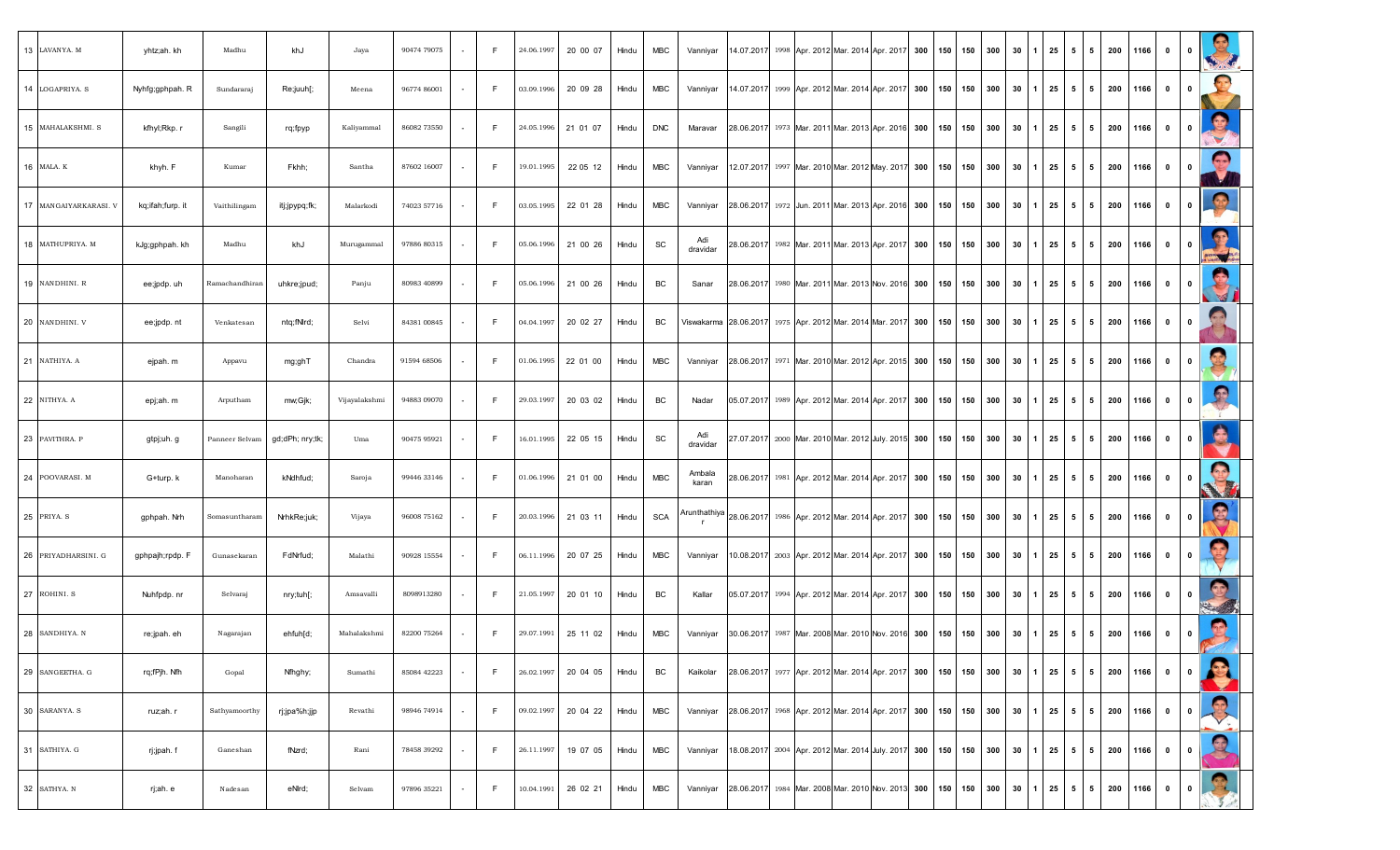| 13 LAVANYA. M         | yhtz;ah. kh      | Madhu          | khJ             | Jaya          | 90474 79075 |        | -F. | 24.06.1997 | 20 00 07 | Hindu | MBC        | Vanniyar        |  |                                               | 14.07.2017 1998 Apr. 2012 Mar. 2014 Apr. 2017 300              | 150 | 150 | 300 | 30 | 25                  |                | $5 \mid 5$ | 200 | 1166 | $\mathbf{0}$ | $\mathbf 0$             | S                    |
|-----------------------|------------------|----------------|-----------------|---------------|-------------|--------|-----|------------|----------|-------|------------|-----------------|--|-----------------------------------------------|----------------------------------------------------------------|-----|-----|-----|----|---------------------|----------------|------------|-----|------|--------------|-------------------------|----------------------|
| 14 LOGAPRIYA. S       | Nyhfg;gphpah. R  | Sundararaj     | Re;juuh[;       | Meena         | 96774 86001 |        | F.  | 03.09.1996 | 20 09 28 | Hindu | <b>MBC</b> | Vanniyar        |  | 14.07.2017 1999 Apr. 2012 Mar. 2014 Apr. 2017 | 300                                                            | 150 | 150 | 300 | 30 | 25                  | 5              | 5          | 200 | 1166 | $\bullet$    | $\mathbf{0}$            | 25                   |
| 15 MAHALAKSHMI. S     | kfhyl;Rkp.r      | Sangili        | rq;fpyp         | Kaliyammal    | 86082 73550 |        | F.  | 24.05.1996 | 21 01 07 | Hindu | <b>DNC</b> | Maravar         |  |                                               | 28.06.2017 1973 Mar. 2011 Mar. 2013 Apr. 2016 300 150 150      |     |     | 300 | 30 | 25                  |                | $5 \mid 5$ | 200 | 1166 | $\bullet$    | $\mathbf{0}$            | $\bullet$            |
| 16 MALA. K            | khyh. F          | Kumar          | Fkhh;           | Santha        | 87602 16007 |        | F.  | 19.01.1995 | 22 05 12 | Hindu | <b>MBC</b> | Vanniyar        |  |                                               | 12.07.2017 1997 Mar. 2010 Mar. 2012 May. 2017 300              | 150 | 150 | 300 | 30 | 25                  |                | 55         | 200 | 1166 | $\mathbf 0$  | $\mathbf{0}$            | $\bigodot$           |
| 17 MANGAIYARKARASI. V | kq;ifah;furp. it | Vaithilingam   | itj;jpypq;fk;   | Malarkodi     | 74023 57716 |        | F.  | 03.05.1995 | 22 01 28 | Hindu | <b>MBC</b> | Vanniyar        |  |                                               | 28.06.2017 1972 Jun. 2011 Mar. 2013 Apr. 2016 300              | 150 | 150 | 300 | 30 | 25                  |                | $5 \mid 5$ | 200 | 1166 | $\bf{0}$     | $\mathbf{0}$            | $\bullet$            |
| 18 MATHUPRIYA. M      | kJg;gphpah. kh   | Madhu          | khJ             | Murugammal    | 97886 80315 |        | F.  | 05.06.1996 | 21 00 26 | Hindu | SC         | Adi<br>dravidar |  |                                               | 28.06.2017 1982 Mar. 2011 Mar. 2013 Apr. 2017 300 150 150      |     |     | 300 | 30 | 25                  |                | $5 \mid 5$ | 200 | 1166 | $\bullet$    | $\mathbf{0}$            | R<br><b>SWAND AS</b> |
| 19 NANDHINI. R        | ee;jpdp. uh      | Ramachandhiran | uhkre;jpud;     | Panju         | 80983 40899 |        | F.  | 05.06.1996 | 21 00 26 | Hindu | BC         | Sanar           |  |                                               | 28.06.2017 1980 Mar. 2011 Mar. 2013 Nov. 2016 300              | 150 | 150 | 300 | 30 | 25                  | 5 <sub>1</sub> | 5          | 200 | 1166 | $\mathbf 0$  | $\mathbf 0$             |                      |
| 20 NANDHINI. V        | ee;jpdp.nt       | Venkatesan     | ntq;fNlrd;      | Selvi         | 84381 00845 |        | F.  | 04.04.1997 | 20 02 27 | Hindu | BC         |                 |  |                                               | Viswakarma 28.06.2017 1975 Apr. 2012 Mar. 2014 Mar. 2017 300   | 150 | 150 | 300 | 30 | 25                  | -51            | 5          | 200 | 1166 | $\mathbf{0}$ | $\mathbf{0}$            |                      |
| 21 NATHIYA. A         | ejpah. m         | Appavu         | mg;ghT          | Chandra       | 91594 68506 |        | F.  | 01.06.1995 | 22 01 00 | Hindu | <b>MBC</b> | Vanniyar        |  |                                               | 28.06.2017 1971 Mar. 2010 Mar. 2012 Apr. 2015 300              | 150 | 150 | 300 | 30 | 25                  |                | $5 \mid 5$ | 200 | 1166 | $\mathbf 0$  | $\mathbf{0}$            |                      |
| 22 NITHYA. A          | epj;ah. m        | Arputham       | mw;Gjk;         | Vijayalakshmi | 94883 09070 |        | F.  | 29.03.1997 | 20 03 02 | Hindu | BC         | Nadar           |  |                                               | 05.07.2017 1989 Apr. 2012 Mar. 2014 Apr. 2017 300              | 150 | 150 | 300 | 30 | 25                  | 5              | 5          | 200 | 1166 | $\mathbf 0$  | $\mathbf 0$             |                      |
| 23 PAVITHRA. P        | gtpj;uh. g       | Panneer Selvam | gd;dPh; nry;tk; | Uma           | 90475 95921 |        | F.  | 16.01.1995 | 22 05 15 | Hindu | SC         | Adi<br>dravidar |  |                                               | 27.07.2017 2000 Mar. 2010 Mar. 2012 July. 2015 300             | 150 | 150 | 300 | 30 | 25                  |                | 55         | 200 | 1166 | $\bullet$    | $\mathbf{0}$            | G                    |
| 24 POOVARASI. M       | G+turp. k        | Manoharan      | kNdhfud;        | Saroja        | 99446 33146 |        | F.  | 01.06.1996 | 21 01 00 | Hindu | MBC        | Ambala<br>karan |  |                                               | 28.06.2017 1981 Apr. 2012 Mar. 2014 Apr. 2017 300              | 150 | 150 | 300 | 30 | 25                  |                | 55         | 200 | 1166 | $\bullet$    | $\mathbf{0}$            | R.                   |
| 25 PRIYA. S           | gphpah. Nrh      | Somasuntharam  | NrhkRe;juk;     | Vijaya        | 96008 75162 |        | F.  | 20.03.1996 | 21 03 11 | Hindu | <b>SCA</b> |                 |  |                                               | Arunthathiya 28.06.2017 1986 Apr. 2012 Mar. 2014 Apr. 2017 300 | 150 | 150 | 300 | 30 | 25                  | 5              | 5          | 200 | 1166 | $\mathbf 0$  | $\mathbf{0}$            | g                    |
| 26 PRIYADHARSINI. G   | gphpajh;rpdp. F  | Gunasekaran    | FdNrfud;        | Malathi       | 90928 15554 |        | F.  | 06.11.1996 | 20 07 25 | Hindu | <b>MBC</b> | Vanniyar        |  |                                               | 10.08.2017 2003 Apr. 2012 Mar. 2014 Apr. 2017 300              | 150 | 150 | 300 | 30 | 25                  |                | $5 \mid 5$ | 200 | 1166 | $\bullet$    | $\mathbf{0}$            |                      |
| 27 ROHINI. S          | Nuhfpdp.nr       | Selvaraj       | nry;tuh[;       | Amsavalli     | 8098913280  |        | F   | 21.05.1997 | 20 01 10 | Hindu | BC         | Kallar          |  |                                               | 05.07.2017 1994 Apr. 2012 Mar. 2014 Apr. 2017 300 150 150      |     |     | 300 | 30 | 25                  |                | 5 5        | 200 | 1166 | $\bullet$    | $\mathbf{0}$            | 9                    |
| 28 SANDHIYA. N        | re;jpah. eh      | Nagarajan      | ehfuh[d;        | Mahalakshmi   | 82200 75264 |        | F.  | 29.07.1991 | 25 11 02 | Hindu | <b>MBC</b> | Vanniyar        |  |                                               | 30.06.2017 1987 Mar. 2008 Mar. 2010 Nov. 2016 300              | 150 | 150 | 300 | 30 | 25                  | 5 <sub>1</sub> | 5          | 200 | 1166 | $\mathbf 0$  | $\overline{\mathbf{0}}$ | 室                    |
| 29 SANGEETHA. G       | rq;fPjh. Nfh     | Gopal          | Nfhghy;         | Sumathi       | 85084 42223 | $\sim$ | F.  | 26.02.1997 | 20 04 05 | Hindu | BC         | Kaikolar        |  |                                               | 28.06.2017 1977 Apr. 2012 Mar. 2014 Apr. 2017 300 150 150      |     |     | 300 |    | $30 \mid 1 \mid 25$ |                | 5 5        | 200 | 1166 | $\bullet$    | 0                       | <b>B</b>             |
| 30 SARANYA. S         | ruz;ah. r        | Sathyamoorthy  | rj;jpa%h;jjp    | Revathi       | 98946 74914 |        | F.  | 09.02.1997 | 20 04 22 | Hindu | <b>MBC</b> | Vanniyar        |  |                                               | 28.06.2017 1968 Apr. 2012 Mar. 2014 Apr. 2017 300 150          |     | 150 | 300 | 30 | 25                  |                | 5 5        | 200 | 1166 | $\bullet$    | $\mathbf{0}$            |                      |
| 31 SATHIYA. G         | rj;jpah. f       | Ganeshan       | fNzrd;          | Rani          | 78458 39292 |        | F.  | 26.11.1997 | 19 07 05 | Hindu | <b>MBC</b> | Vanniyar        |  |                                               | 18.08.2017 2004 Apr. 2012 Mar. 2014 July. 2017 300             | 150 | 150 | 300 | 30 | 25                  |                | $5 \mid 5$ | 200 | 1166 | $\mathbf{0}$ | 0                       | 2                    |
| 32 SATHYA. N          | rj;ah. e         | Nadesan        | eNrd;           | Selvam        | 97896 35221 | $\sim$ | F.  | 10.04.1991 | 26 02 21 | Hindu | MBC        | Vanniyar        |  |                                               | 28.06.2017 1984 Mar. 2008 Mar. 2010 Nov. 2013 300 150          |     | 150 | 300 | 30 | $1 \quad 25$        |                | 5 5        | 200 | 1166 | $\bullet$    | $\mathbf{0}$            | 8                    |